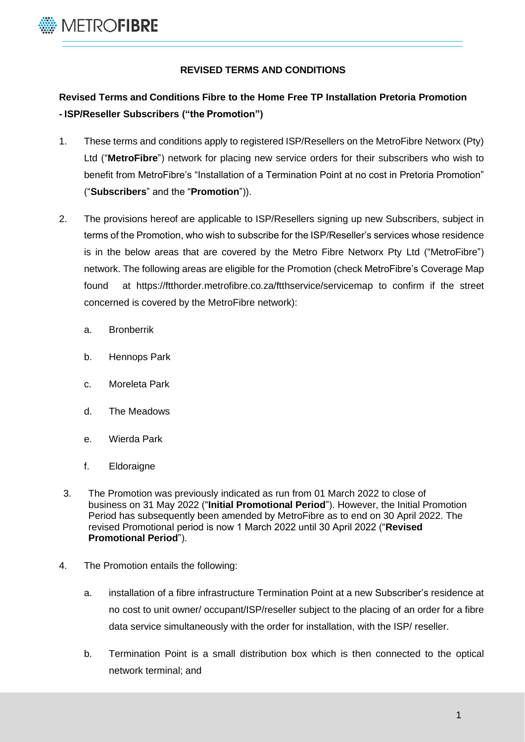

## **REVISED TERMS AND CONDITIONS**

## **Revised Terms and Conditions Fibre to the Home Free TP Installation Pretoria Promotion - ISP/Reseller Subscribers ("the Promotion")**

- 1. These terms and conditions apply to registered ISP/Resellers on the MetroFibre Networx (Pty) Ltd ("**MetroFibre**") network for placing new service orders for their subscribers who wish to benefit from MetroFibre's "Installation of a Termination Point at no cost in Pretoria Promotion" ("**Subscribers**" and the "**Promotion**")).
- 2. The provisions hereof are applicable to ISP/Resellers signing up new Subscribers, subject in terms of the Promotion, who wish to subscribe for the ISP/Reseller's services whose residence is in the below areas that are covered by the Metro Fibre Networx Pty Ltd ("MetroFibre") network. The following areas are eligible for the Promotion (check MetroFibre's Coverage Map found at <https://ftthorder.metrofibre.co.za/ftthservice/servicemap> to confirm if the street concerned is covered by the MetroFibre network):
	- a. Bronberrik
	- b. Hennops Park
	- c. Moreleta Park
	- d. The Meadows
	- e. Wierda Park
	- f. Eldoraigne
- 3. The Promotion was previously indicated as run from 01 March 2022 to close of business on 31 May 2022 ("**Initial Promotional Period**"). However, the Initial Promotion Period has subsequently been amended by MetroFibre as to end on 30 April 2022. The revised Promotional period is now 1 March 2022 until 30 April 2022 ("**Revised Promotional Period**").
- 4. The Promotion entails the following:
	- a. installation of a fibre infrastructure Termination Point at a new Subscriber's residence at no cost to unit owner/ occupant/ISP/reseller subject to the placing of an order for a fibre data service simultaneously with the order for installation, with the ISP/ reseller.
	- b. Termination Point is a small distribution box which is then connected to the optical network terminal; and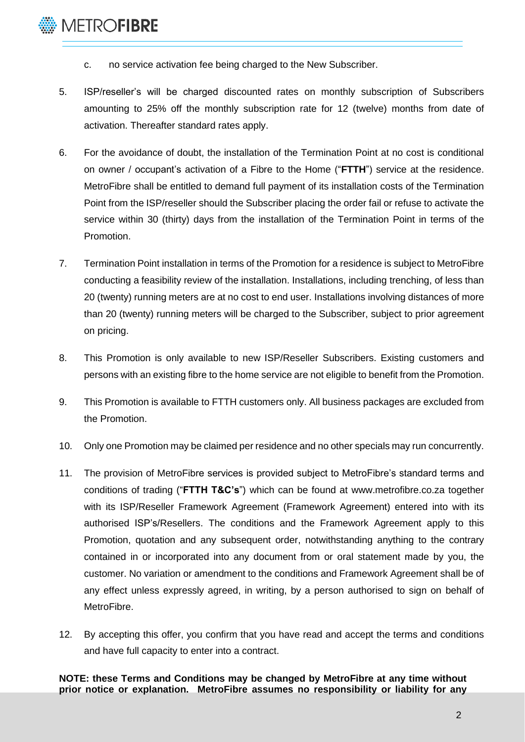- c. no service activation fee being charged to the New Subscriber.
- 5. ISP/reseller's will be charged discounted rates on monthly subscription of Subscribers amounting to 25% off the monthly subscription rate for 12 (twelve) months from date of activation. Thereafter standard rates apply.
- 6. For the avoidance of doubt, the installation of the Termination Point at no cost is conditional on owner / occupant's activation of a Fibre to the Home ("**FTTH**") service at the residence. MetroFibre shall be entitled to demand full payment of its installation costs of the Termination Point from the ISP/reseller should the Subscriber placing the order fail or refuse to activate the service within 30 (thirty) days from the installation of the Termination Point in terms of the Promotion.
- 7. Termination Point installation in terms of the Promotion for a residence is subject to MetroFibre conducting a feasibility review of the installation. Installations, including trenching, of less than 20 (twenty) running meters are at no cost to end user. Installations involving distances of more than 20 (twenty) running meters will be charged to the Subscriber, subject to prior agreement on pricing.
- 8. This Promotion is only available to new ISP/Reseller Subscribers. Existing customers and persons with an existing fibre to the home service are not eligible to benefit from the Promotion.
- 9. This Promotion is available to FTTH customers only. All business packages are excluded from the Promotion.
- 10. Only one Promotion may be claimed per residence and no other specials may run concurrently.
- 11. The provision of MetroFibre services is provided subject to MetroFibre's standard terms and conditions of trading ("**FTTH T&C's**") which can be found at [www.metrofibre.co.za](http://www.metrofibre.co.za/) together with its ISP/Reseller Framework Agreement (Framework Agreement) entered into with its authorised ISP's/Resellers. The conditions and the Framework Agreement apply to this Promotion, quotation and any subsequent order, notwithstanding anything to the contrary contained in or incorporated into any document from or oral statement made by you, the customer. No variation or amendment to the conditions and Framework Agreement shall be of any effect unless expressly agreed, in writing, by a person authorised to sign on behalf of MetroFibre.
- 12. By accepting this offer, you confirm that you have read and accept the terms and conditions and have full capacity to enter into a contract.

**NOTE: these Terms and Conditions may be changed by MetroFibre at any time without prior notice or explanation. MetroFibre assumes no responsibility or liability for any**